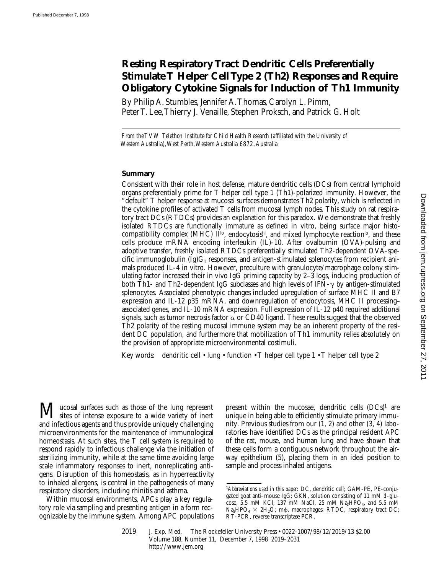# **Resting Respiratory Tract Dendritic Cells Preferentially Stimulate T Helper Cell Type 2 (Th2) Responses and Require Obligatory Cytokine Signals for Induction of Th1 Immunity**

By Philip A. Stumbles, Jennifer A. Thomas, Carolyn L. Pimm, Peter T. Lee, Thierry J. Venaille, Stephen Proksch, and Patrick G. Holt

*From the TVW Telethon Institute for Child Health Research (affiliated with the University of Western Australia), West Perth, Western Australia 6872, Australia*

## **Summary**

Consistent with their role in host defense, mature dendritic cells (DCs) from central lymphoid organs preferentially prime for T helper cell type 1 (Th1)-polarized immunity. However, the "default" T helper response at mucosal surfaces demonstrates Th2 polarity, which is reflected in the cytokine profiles of activated T cells from mucosal lymph nodes. This study on rat respiratory tract DCs (RTDCs) provides an explanation for this paradox. We demonstrate that freshly isolated RTDCs are functionally immature as defined in vitro, being surface major histocompatibility complex (MHC)  $II^{lo}$ , endocytosis<sup>hi</sup>, and mixed lymphocyte reaction<sup>lo</sup>, and these cells produce mRNA encoding interleukin (IL)-10. After ovalbumin (OVA)-pulsing and adoptive transfer, freshly isolated RTDCs preferentially stimulated Th2-dependent OVA-specific immunoglobulin  $(Ig)G_1$  responses, and antigen-stimulated splenocytes from recipient animals produced IL-4 in vitro. However, preculture with granulocyte/macrophage colony stimulating factor increased their in vivo IgG priming capacity by 2–3 logs, inducing production of both Th1- and Th2-dependent IgG subclasses and high levels of IFN- $\gamma$  by antigen-stimulated splenocytes. Associated phenotypic changes included upregulation of surface MHC II and B7 expression and IL-12 p35 mRNA, and downregulation of endocytosis, MHC II processing– associated genes, and IL-10 mRNA expression. Full expression of IL-12 p40 required additional signals, such as tumor necrosis factor  $\alpha$  or CD40 ligand. These results suggest that the observed Th2 polarity of the resting mucosal immune system may be an inherent property of the resident DC population, and furthermore that mobilization of Th1 immunity relies absolutely on the provision of appropriate microenvironmental costimuli.

Key words: dendritic cell • lung • function • T helper cell type 1 • T helper cell type 2

**M** ucosal surfaces such as those of the lung represent<br>sites of intense exposure to a wide variety of inert and infectious agents and thus provide uniquely challenging microenvironments for the maintenance of immunological homeostasis. At such sites, the T cell system is required to respond rapidly to infectious challenge via the initiation of sterilizing immunity, while at the same time avoiding large scale inflammatory responses to inert, nonreplicating antigens. Disruption of this homeostasis, as in hyperreactivity to inhaled allergens, is central in the pathogenesis of many respiratory disorders, including rhinitis and asthma.

Within mucosal environments, APCs play a key regulatory role via sampling and presenting antigen in a form recognizable by the immune system. Among APC populations present within the mucosae, dendritic cells  $(DCs)^1$  are unique in being able to efficiently stimulate primary immunity. Previous studies from our (1, 2) and other (3, 4) laboratories have identified DCs as the principal resident APC of the rat, mouse, and human lung and have shown that these cells form a contiguous network throughout the airway epithelium (5), placing them in an ideal position to sample and process inhaled antigens.

<sup>1</sup>*Abbreviations used in this paper:* DC, dendritic cell; GAM-PE, PE-conjugated goat anti–mouse IgG; GKN, solution consisting of 11 mM d-glucose,  $\overline{5.5}$  mM KCl, 137 mM NaCl, 25 mM Na<sub>2</sub>HPO<sub>4</sub>, and 5.5 mM Na<sub>2</sub>HPO<sub>4</sub>  $\times$  2H<sub>2</sub>O; m $\phi$ , macrophages; RTDC, respiratory tract DC; RT-PCR, reverse transcriptase PCR.

<sup>2019</sup> J. Exp. Med. The Rockefeller University Press • 0022-1007/98/12/2019/13 \$2.00 Volume 188, Number 11, December 7, 1998 2019–2031 http://www.jem.org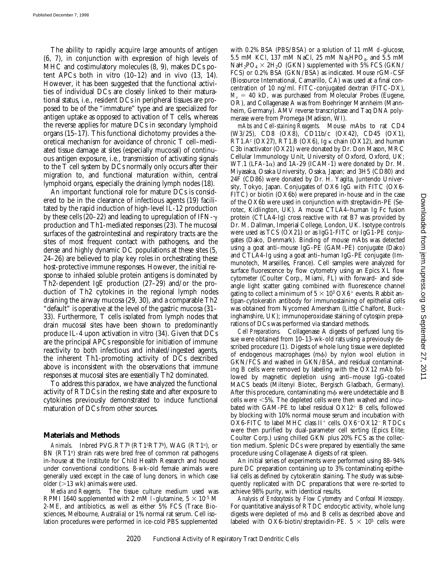The ability to rapidly acquire large amounts of antigen (6, 7), in conjunction with expression of high levels of MHC and costimulatory molecules (8, 9), makes DCs potent APCs both in vitro  $(10-12)$  and in vivo  $(13, 14)$ . However, it has been suggested that the functional activities of individual DCs are closely linked to their maturational status, i.e., resident DCs in peripheral tissues are proposed to be of the "immature" type and are specialized for antigen uptake as opposed to activation of T cells, whereas the reverse applies for mature DCs in secondary lymphoid organs (15–17). This functional dichotomy provides a theoretical mechanism for avoidance of chronic T cell–mediated tissue damage at sites (especially mucosal) of continuous antigen exposure, i.e., transmission of activating signals to the T cell system by DCs normally only occurs after their migration to, and functional maturation within, central lymphoid organs, especially the draining lymph nodes (18).

An important functional role for mature DCs is considered to be in the clearance of infectious agents (19) facilitated by the rapid induction of high-level IL-12 production by these cells (20–22) and leading to upregulation of IFN- $\gamma$ production and Th1-mediated responses (23). The mucosal surfaces of the gastrointestinal and respiratory tracts are the sites of most frequent contact with pathogens, and the dense and highly dynamic DC populations at these sites (5, 24–26) are believed to play key roles in orchestrating these host-protective immune responses. However, the initial response to inhaled soluble protein antigens is dominated by Th2-dependent IgE production (27–29) and/or the production of Th2 cytokines in the regional lymph nodes draining the airway mucosa (29, 30), and a comparable Th2 "default" is operative at the level of the gastric mucosa (31– 33). Furthermore, T cells isolated from lymph nodes that drain mucosal sites have been shown to predominantly produce IL-4 upon activation in vitro (34). Given that DCs are the principal APCs responsible for initiation of immune reactivity to both infectious and inhaled/ingested agents, the inherent Th1-promoting activity of DCs described above is inconsistent with the observations that immune responses at mucosal sites are essentially Th2 dominated.

To address this paradox, we have analyzed the functional activity of RTDCs in the resting state and after exposure to cytokines previously demonstrated to induce functional maturation of DCs from other sources.

## **Materials and Methods**

Animals. Inbred PVG.RT7<sup>b</sup> (RT1<sup>c</sup>RT7<sup>b</sup>), WAG (RT1<sup>u</sup>), or BN (RT1<sup>n</sup>) strain rats were bred free of common rat pathogens in-house at the Institute for Child Health Research and housed under conventional conditions. 8-wk-old female animals were generally used except in the case of lung donors, in which case older  $(>13 \text{ wk})$  animals were used.

*Media and Reagents.* The tissue culture medium used was RPMI 1640 supplemented with 2 mM l-glutamine,  $5 \times 10^{-5}$  M 2-ME, and antibiotics, as well as either 5% FCS (Trace Biosciences, Melbourne, Australia) or 1% normal rat serum. Cell isolation procedures were performed in ice-cold PBS supplemented

with 0.2% BSA (PBS/BSA) or a solution of 11 mM d-glucose, 5.5 mM KCl, 137 mM NaCl, 25 mM Na<sub>2</sub>HPO<sub>4</sub>, and 5.5 mM  $NaH_2PO_4 \times 2H_2O$  (GKN) supplemented with 5% FCS (GKN/ FCS) or 0.2% BSA (GKN/BSA) as indicated. Mouse rGM-CSF (Biosource International, Camarillo, CA) was used at a final concentration of 10 ng/ml. FITC-conjugated dextran (FITC-DX),  $M_r = 40$  kD, was purchased from Molecular Probes (Eugene, OR), and Collagenase A was from Boehringer Mannheim (Mannheim, Germany). AMV reverse transcriptase and Taq DNA polymerase were from Promega (Madison, WI).

*mAbs and Cell-staining Reagents.* Mouse mAbs to rat CD4 (W3/25), CD8 (OX8), CD11b/c (OX42), CD45 (OX1),  $RT1.A<sup>c</sup> (OX27), RT1.B (OX6), Ig \kappa chain (OX12), and human$ C3b inactivator (OX21) were donated by Dr. Don Mason, MRC Cellular Immunology Unit, University of Oxford, Oxford, UK; WT.1 (LFA-1 $\alpha$ ) and 1A-29 (ICAM-1) were donated by Dr. M. Miyasaka, Osaka University, Osaka, Japan; and 3H5 (CD80) and 24F (CD86) were donated by Dr. H. Yagita, Juntendo University, Tokyo, Japan. Conjugates of OX6 IgG with FITC (OX6- FITC) or biotin (OX6b) were prepared in-house and in the case of the OX6b were used in conjunction with streptavidin-PE (Serotec, Kidlington, UK). A mouse CTLA4–human Ig Fc fusion protein (CTLA4-Ig) cross reactive with rat B7 was provided by Dr. M. Dallman, Imperial College, London, UK. Isotype controls were used as TCS (OX21) or as IgG1-FITC or IgG1-PE conjugates (Dako, Denmark). Binding of mouse mAbs was detected using a goat anti–mouse IgG-PE (GAM-PE) conjugate (Dako) and CTLA4-Ig using a goat anti–human IgG-PE conjugate (Immunotech, Marseilles, France). Cell samples were analyzed for surface fluorescence by flow cytometry using an Epics XL flow cytometer (Coulter Corp., Miami, FL) with forward- and sideangle light scatter gating combined with fluorescence channel gating to collect a minimum of  $5 \times 10^3$  OX6<sup>+</sup> events. Rabbit antipan-cytokeratin antibody for immunostaining of epithelial cells was obtained from Nycomed Amersham (Little Chalfont, Buckinghamshire, UK); immunoperoxidase staining of cytospin preparations of DCs was performed via standard methods.

*Cell Preparations.* Collagenase A digests of perfused lung tissue were obtained from 10–13-wk-old rats using a previously described procedure (1). Digests of whole lung tissue were depleted of endogenous macrophages (m $\phi$ ) by nylon wool elution in GKN/FCS and washed in GKN/BSA, and residual contaminating B cells were removed by labeling with the OX12 mAb followed by magnetic depletion using anti–mouse IgG-coated MACS beads (Miltenyi Biotec, Bergisch Gladbach, Germany). After this procedure, contaminating m $\phi$  were undetectable and B cells were  $<$  5%. The depleted cells were then washed and incubated with GAM-PE to label residual  $OX12<sup>+</sup>$  B cells, followed by blocking with 10% normal mouse serum and incubation with  $OX6$ -FITC to label MHC class II<sup>+</sup> cells.  $OX6$ <sup>+</sup> $OX12$ <sup>-</sup> RTDCs were then purified by dual-parameter cell sorting (Epics Elite; Coulter Corp.) using chilled GKN plus 20% FCS as the collection medium. Splenic DCs were prepared by essentially the same procedure using Collagenase A digests of rat spleen.

An initial series of experiments were performed using 88–94% pure DC preparation containing up to 3% contaminating epithelial cells as defined by cytokeratin staining. The study was subsequently replicated with DC preparations that were re-sorted to achieve 98% purity, with identical results.

*Analysis of Endocytosis by Flow Cytometry and Confocal Microscopy.* For quantitative analysis of RTDC endocytic activity, whole lung digests were depleted of m $\phi$  and B cells as described above and labeled with OX6-biotin/streptavidin-PE.  $5 \times 10^5$  cells were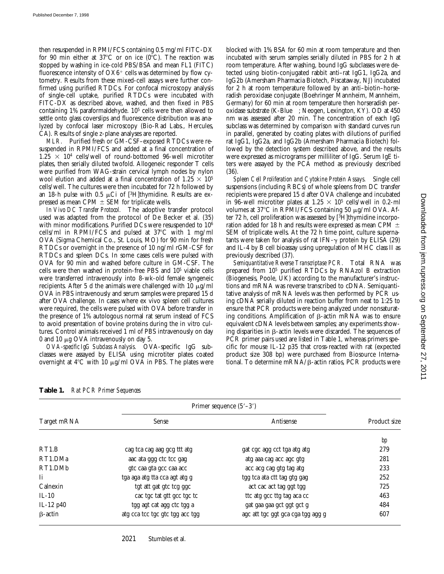then resuspended in RPMI/FCS containing 0.5 mg/ml FITC-DX for 90 min either at  $37^{\circ}$ C or on ice (0 $^{\circ}$ C). The reaction was stopped by washing in ice-cold PBS/BSA and mean FL1 (FITC) fluorescence intensity of  $O X6^+$  cells was determined by flow cytometry. Results from these mixed-cell assays were further confirmed using purified RTDCs. For confocal microscopy analysis of single-cell uptake, purified RTDCs were incubated with FITC-DX as described above, washed, and then fixed in PBS containing 1% paraformaldehyde. 105 cells were then allowed to settle onto glass coverslips and fluorescence distribution was analyzed by confocal laser microscopy (Bio-Rad Labs., Hercules, CA). Results of single z-plane analyses are reported.

*MLR.* Purified fresh or GM-CSF–exposed RTDCs were resuspended in RPMI/FCS and added at a final concentration of  $1.25 \times 10^4$  cells/well of round-bottomed 96-well microtiter plates, then serially diluted twofold. Allogeneic responder T cells were purified from WAG-strain cervical lymph nodes by nylon wool elution and added at a final concentration of  $1.25 \times 10^5$ cells/well. The cultures were then incubated for 72 h followed by an 18-h pulse with 0.5  $\mu$ Ci of [<sup>3</sup>H]thymidine. Results are expressed as mean CPM  $\pm$  SEM for triplicate wells.

*In Vivo DC Transfer Protocol.* The adoptive transfer protocol used was adapted from the protocol of De Becker et al. (35) with minor modifications. Purified DCs were resuspended to 10<sup>6</sup> cells/ml in RPMI/FCS and pulsed at  $37^{\circ}$ C with 1 mg/ml OVA (Sigma Chemical Co., St. Louis, MO) for 90 min for fresh RTDCs or overnight in the presence of 10 ng/ml rGM-CSF for RTDCs and spleen DCs. In some cases cells were pulsed with OVA for 90 min and washed before culture in GM-CSF. The cells were then washed in protein-free PBS and 105 viable cells were transferred intravenously into 8-wk-old female syngeneic recipients. After 5 d the animals were challenged with 10  $\mu$ g/ml OVA in PBS intravenously and serum samples were prepared 15 d after OVA challenge. In cases where ex vivo spleen cell cultures were required, the cells were pulsed with OVA before transfer in the presence of 1% autologous normal rat serum instead of FCS to avoid presentation of bovine proteins during the in vitro cultures. Control animals received 1 ml of PBS intravenously on day 0 and 10  $\mu$ g OVA intravenously on day 5.

*OVA-specific IgG Subclass Analysis.* OVA-specific IgG subclasses were assayed by ELISA using microtiter plates coated overnight at  $4^{\circ}$ C with 10  $\mu$ g/ml OVA in PBS. The plates were

blocked with 1% BSA for 60 min at room temperature and then incubated with serum samples serially diluted in PBS for 2 h at room temperature. After washing, bound IgG subclasses were detected using biotin-conjugated rabbit anti–rat IgG1, IgG2a, and IgG2b (Amersham Pharmacia Biotech, Piscataway, NJ) incubated for 2 h at room temperature followed by an anti–biotin–horseradish peroxidase conjugate (Boehringer Mannheim, Mannheim, Germany) for 60 min at room temperature then horseradish peroxidase substrate (K-Blue™; Neogen, Lexington, KY). OD at 450 nm was assessed after 20 min. The concentration of each IgG subclass was determined by comparison with standard curves run in parallel, generated by coating plates with dilutions of purified rat IgG1, IgG2a, and IgG2b (Amersham Pharmacia Biotech) followed by the detection system described above, and the results were expressed as micrograms per milliliter of IgG. Serum IgE titers were assayed by the PCA method as previously described (36).

*Spleen Cell Proliferation and Cytokine Protein Assays.* Single cell suspensions (including RBCs) of whole spleens from DC transfer recipients were prepared 15 d after OVA challenge and incubated in 96-well microtiter plates at  $1.25 \times 10^5$  cells/well in 0.2-ml volumes at 37 $\rm ^{o}C$  in RPMI/FCS containing 50  $\mu$ g/ml OVA. After 72 h, cell proliferation was assessed by [3H]thymidine incorporation added for 18 h and results were expressed as mean CPM  $\pm$ SEM of triplicate wells. At the 72 h time point, culture supernatants were taken for analysis of rat IFN- $\gamma$  protein by ELISA (29) and IL-4 by B cell bioassay using upregulation of MHC class II as previously described (37).

*Semiquantitative Reverse Transcriptase PCR.* Total RNA was prepared from 105 purified RTDCs by RNAzol B extraction (Biogenesis, Poole, UK) according to the manufacturer's instructions and mRNA was reverse transcribed to cDNA. Semiquantitative analysis of mRNA levels was then performed by PCR using cDNA serially diluted in reaction buffer from neat to 1:25 to ensure that PCR products were being analyzed under nonsaturating conditions. Amplification of  $\beta$ -actin mRNA was to ensure equivalent cDNA levels between samples; any experiments showing disparities in  $\beta$ -actin levels were discarded. The sequences of PCR primer pairs used are listed in Table 1, whereas primers specific for mouse IL-12 p35 that cross-reacted with rat (expected product size 308 bp) were purchased from Biosource International. To determine m $RNA/B$ -actin ratios, PCR products were

| Table 1. | <b>Rat PCR Primer Sequences</b> |
|----------|---------------------------------|
|----------|---------------------------------|

|                | Primer sequence $(5'–3')$       |                                   |              |
|----------------|---------------------------------|-----------------------------------|--------------|
| Target mRNA    | Sense                           | Antisense                         | Product size |
|                |                                 |                                   | bp           |
| RT1.B          | cag tca cag aag gcg ttt atg     | gat cgc agg cct tga atg atg       | 279          |
| RT1.DMa        | aac ata ggg ctc tcc gag         | atg aaa cag acc agc gtg           | 281          |
| RT1.DMb        | gtc caa gta gcc caa acc         | acc acg cag gtg tag atg           | 233          |
| Ιi             | tga aga atg tta cca agt atg g   | tgg tca ata ctt tag gtg gag       | 252          |
| Calnexin       | tgt att gat gtc tcg ggc         | act cac act tag ggt tgg           | 725          |
| $IL-10$        | cac tgc tat gtt gcc tgc tc      | tte atg gee ttg tag aca ee        | 463          |
| IL-12 p40      | tgg agt cat agg ctc tgg a       | gat gaa gaa gct ggt gct g         | 484          |
| $\beta$ -actin | atg cca tcc tgc gtc tgg acc tgg | age att tge ggt gea ega tgg agg g | 607          |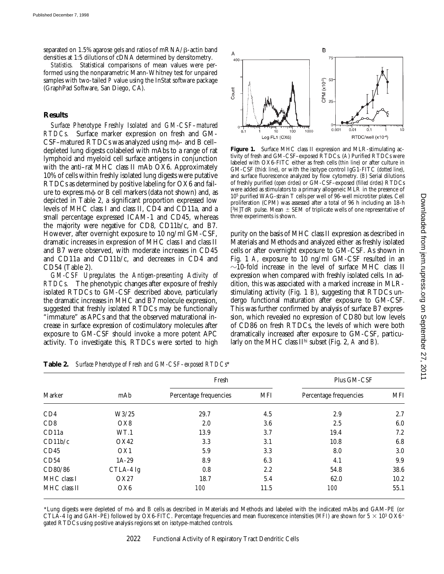separated on 1.5% agarose gels and ratios of  $mRNA/B$ -actin band densities at 1:5 dilutions of cDNA determined by densitometry.

*Statistics.* Statistical comparisons of mean values were performed using the nonparametric Mann-Whitney test for unpaired samples with two-tailed *P* value using the InStat software package (GraphPad Software, San Diego, CA).

## **Results**

*Surface Phenotype Freshly Isolated and GM-CSF–matured RTDCs.* Surface marker expression on fresh and GM- $CSF$ –matured RTDCs was analyzed using m $\phi$ - and B cell– depleted lung digests colabeled with mAbs to a range of rat lymphoid and myeloid cell surface antigens in conjunction with the anti–rat MHC class II mAb OX6. Approximately 10% of cells within freshly isolated lung digests were putative RTDCs as determined by positive labeling for OX6 and failure to express m $\phi$  or B cell markers (data not shown) and, as depicted in Table 2, a significant proportion expressed low levels of MHC class I and class II, CD4 and CD11a, and a small percentage expressed ICAM-1 and CD45, whereas the majority were negative for CD8, CD11b/c, and B7. However, after overnight exposure to 10 ng/ml GM-CSF, dramatic increases in expression of MHC class I and class II and B7 were observed, with moderate increases in CD45 and CD11a and CD11b/c, and decreases in CD4 and CD54 (Table 2).

*GM-CSF Upregulates the Antigen-presenting Activity of RTDCs.* The phenotypic changes after exposure of freshly isolated RTDCs to GM-CSF described above, particularly the dramatic increases in MHC and B7 molecule expression, suggested that freshly isolated RTDCs may be functionally "immature" as APCs and that the observed maturational increase in surface expression of costimulatory molecules after exposure to GM-CSF should invoke a more potent APC activity. To investigate this, RTDCs were sorted to high



Figure 1. Surface MHC class II expression and MLR-stimulating activity of fresh and GM-CSF–exposed RTDCs. (*A*) Purified RTDCs were labeled with OX6-FITC either as fresh cells (*thin line*) or after culture in GM-CSF (*thick line*), or with the isotype control IgG1-FITC (*dotted line*), and surface fluorescence analyzed by flow cytometry. (*B*) Serial dilutions of freshly purified (*open circles*) or GM-CSF–exposed (*filled circles*) RTDCs were added as stimulators to a primary allogeneic MLR in the presence of 105 purified WAG-strain T cells per well of 96-well microtiter plates. Cell proliferation (CPM) was assessed after a total of 96 h including an 18-h [<sup>3</sup>H]TdR pulse. Mean  $\pm$  SEM of triplicate wells of one representative of three experiments is shown.

purity on the basis of MHC class II expression as described in Materials and Methods and analyzed either as freshly isolated cells or after overnight exposure to GM-CSF. As shown in Fig. 1 *A*, exposure to 10 ng/ml GM-CSF resulted in an  $\sim$ 10-fold increase in the level of surface MHC class II expression when compared with freshly isolated cells. In addition, this was associated with a marked increase in MLRstimulating activity (Fig. 1 *B*), suggesting that RTDCs undergo functional maturation after exposure to GM-CSF. This was further confirmed by analysis of surface B7 expression, which revealed no expression of CD80 but low levels of CD86 on fresh RTDCs, the levels of which were both dramatically increased after exposure to GM-CSF, particularly on the MHC class IIhi subset (Fig. 2, *A* and *B*).

| Marker       |                 | Fresh                  |      | Plus GM-CSF            |            |
|--------------|-----------------|------------------------|------|------------------------|------------|
|              | mAb             | Percentage frequencies | MFI  | Percentage frequencies | <b>MFI</b> |
| CD4          | W3/25           | 29.7                   | 4.5  | 2.9                    | 2.7        |
| CD8          | OX8             | 2.0                    | 3.6  | 2.5                    | 6.0        |
| CD11a        | WT.1            | 13.9                   | 3.7  | 19.4                   | 7.2        |
| CD11b/c      | OX42            | 3.3                    | 3.1  | 10.8                   | 6.8        |
| CD45         | OX <sub>1</sub> | 5.9                    | 3.3  | 8.0                    | 3.0        |
| CD54         | $1A-29$         | 8.9                    | 6.3  | 4.1                    | 9.9        |
| CD80/86      | CTLA-4 Ig       | 0.8                    | 2.2  | 54.8                   | 38.6       |
| MHC class I  | OX27            | 18.7                   | 5.4  | 62.0                   | 10.2       |
| MHC class II | OX6             | <i>100</i>             | 11.5 | 100                    | 55.1       |

**Table 2.** *Surface Phenotype of Fresh and GM-CSF–exposed RTDCs*\*

\*Lung digests were depleted of mf and B cells as described in Materials and Methods and labeled with the indicated mAbs and GAM-PE (or CTLA-4 Ig and GAH-PE) followed by OX6-FITC. Percentage frequencies and mean fluorescence intensities (*MFI*) are shown for  $5 \times 10^3$  OX6<sup>+</sup> gated RTDCs using positive analysis regions set on isotype-matched controls.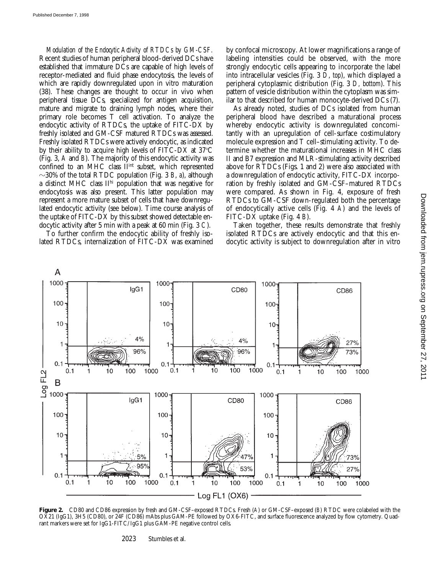*Modulation of the Endocytic Activity of RTDCs by GM-CSF.* Recent studies of human peripheral blood–derived DCs have established that immature DCs are capable of high levels of receptor-mediated and fluid phase endocytosis, the levels of which are rapidly downregulated upon in vitro maturation (38). These changes are thought to occur in vivo when peripheral tissue DCs, specialized for antigen acquisition, mature and migrate to draining lymph nodes, where their primary role becomes T cell activation. To analyze the endocytic activity of RTDCs, the uptake of FITC-DX by freshly isolated and GM-CSF matured RTDCs was assessed. Freshly isolated RTDCs were actively endocytic, as indicated by their ability to acquire high levels of FITC-DX at  $37^{\circ}$ C (Fig. 3, *A* and *B*). The majority of this endocytic activity was confined to an MHC class II<sup>int</sup> subset, which represented  $\sim$ 30% of the total RTDC population (Fig. 3 *B*, *a*), although a distinct MHC class IIhi population that was negative for endocytosis was also present. This latter population may represent a more mature subset of cells that have downregulated endocytic activity (see below). Time course analysis of the uptake of FITC-DX by this subset showed detectable endocytic activity after 5 min with a peak at 60 min (Fig. 3 *C*).

To further confirm the endocytic ability of freshly isolated RTDCs, internalization of FITC-DX was examined by confocal microscopy. At lower magnifications a range of labeling intensities could be observed, with the more strongly endocytic cells appearing to incorporate the label into intracellular vesicles (Fig. 3 *D*, *top*), which displayed a peripheral cytoplasmic distribution (Fig. 3 *D, bottom*). This pattern of vesicle distribution within the cytoplasm was similar to that described for human monocyte-derived DCs (7).

As already noted, studies of DCs isolated from human peripheral blood have described a maturational process whereby endocytic activity is downregulated concomitantly with an upregulation of cell-surface costimulatory molecule expression and T cell–stimulating activity. To determine whether the maturational increases in MHC class II and B7 expression and MLR-stimulating activity described above for RTDCs (Figs. 1 and 2) were also associated with a downregulation of endocytic activity, FITC-DX incorporation by freshly isolated and GM-CSF–matured RTDCs were compared. As shown in Fig. 4, exposure of fresh RTDCs to GM-CSF down-regulated both the percentage of endocytically active cells (Fig. 4 *A*) and the levels of FITC-DX uptake (Fig. 4 *B*).

Taken together, these results demonstrate that freshly isolated RTDCs are actively endocytic and that this endocytic activity is subject to downregulation after in vitro



**Figure 2.** CD80 and CD86 expression by fresh and GM-CSF–exposed RTDCs. Fresh (*A*) or GM-CSF–exposed (*B*) RTDC were colabeled with the OX21 (IgG1), 3H5 (CD80), or 24F (CD86) mAbs plus GAM-PE followed by OX6-FITC, and surface fluorescence analyzed by flow cytometry. Quadrant markers were set for IgG1-FITC/IgG1 plus GAM-PE negative control cells.

2023 Stumbles et al.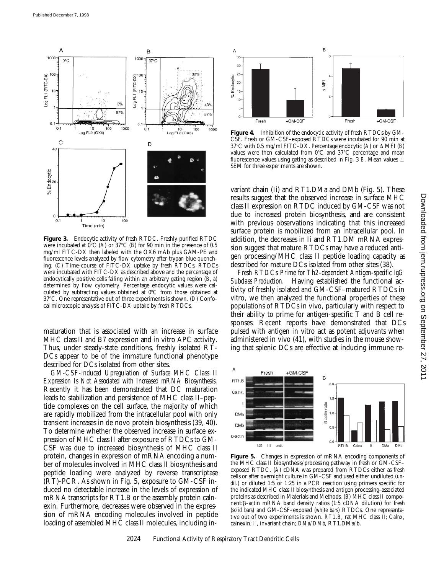

**Figure 3.** Endocytic activity of fresh RTDC. Freshly purified RTDC were incubated at  $0^{\circ}$ C (*A*) or 37°C (*B*) for 90 min in the presence of 0.5 mg/ml FITC-DX then labeled with the OX6 mAb plus GAM-PE and fluorescence levels analyzed by flow cytometry after trypan blue quenching. (*C*) Time-course of FITC-DX uptake by fresh RTDCs. RTDCs were incubated with FITC-DX as described above and the percentage of endocytically positive cells falling within an arbitrary gating region (*B*, *a*) determined by flow cytometry. Percentage endocytic values were calculated by subtracting values obtained at  $0^{\circ}$ C from those obtained at 378C. One representative out of three experiments is shown. (*D*) Confocal microscopic analysis of FITC-DX uptake by fresh RTDCs.

maturation that is associated with an increase in surface MHC class II and B7 expression and in vitro APC activity. Thus, under steady-state conditions, freshly isolated RT-DCs appear to be of the immature functional phenotype described for DCs isolated from other sites.

*GM-CSF-induced Upregulation of Surface MHC Class II Expression Is Not Associated with Increased mRNA Biosynthesis.* Recently it has been demonstrated that DC maturation leads to stabilization and persistence of MHC class II–peptide complexes on the cell surface, the majority of which are rapidly mobilized from the intracellular pool with only transient increases in de novo protein biosynthesis (39, 40). To determine whether the observed increase in surface expression of MHC class II after exposure of RTDCs to GM-CSF was due to increased biosynthesis of MHC class II protein, changes in expression of mRNA encoding a number of molecules involved in MHC class II biosynthesis and peptide loading were analyzed by reverse transcriptase (RT)-PCR. As shown in Fig. 5, exposure to GM-CSF induced no detectable increase in the levels of expression of mRNA transcripts for RT1.B or the assembly protein calnexin. Furthermore, decreases were observed in the expression of mRNA encoding molecules involved in peptide loading of assembled MHC class II molecules, including in-



**Figure 4.** Inhibition of the endocytic activity of fresh RTDCs by GM-CSF. Fresh or GM-CSF–exposed RTDCs were incubated for 90 min at 37°C with 0.5 mg/ml FITC-DX. Percentage endocytic (A) or  $\Delta$  MFI (*B*) values were then calculated from  $0^{\circ}$ C and  $37^{\circ}$ C percentage and mean fluorescence values using gating as described in Fig. 3  $B$ . Mean values  $\pm$ SEM for three experiments are shown.

variant chain (Ii) and RT1.DMa and DMb (Fig. 5). These results suggest that the observed increase in surface MHC class II expression on RTDC induced by GM-CSF was not due to increased protein biosynthesis, and are consistent with previous observations indicating that this increased surface protein is mobilized from an intracellular pool. In addition, the decreases in Ii and RT1.DM mRNA expression suggest that mature RTDCs may have a reduced antigen processing/MHC class II peptide loading capacity as described for mature DCs isolated from other sites (38).

*Fresh RTDCs Prime for Th2-dependent Antigen-specific IgG Subclass Production.* Having established the functional activity of freshly isolated and GM-CSF–matured RTDCs in vitro, we then analyzed the functional properties of these populations of RTDCs in vivo, particularly with respect to their ability to prime for antigen-specific T and B cell responses. Recent reports have demonstrated that DCs pulsed with antigen in vitro act as potent adjuvants when administered in vivo (41), with studies in the mouse showing that splenic DCs are effective at inducing immune re-



**Figure 5.** Changes in expression of mRNA encoding components of the MHC class II biosynthesis/processing pathway in fresh or GM-CSF– exposed RTDC. (*A*) cDNA was prepared from RTDCs either as fresh cells or after overnight culture in GM-CSF and used either undiluted (*undil.*) or diluted 1:5 or 1:25 in a PCR reaction using primers specific for the indicated MHC class II biosynthesis and antigen processing-associated proteins as described in Materials and Methods. (*B*) MHC class II component: $\beta$ -actin mRNA band density ratios (1:5 cDNA dilution) for fresh (*solid bars*) and GM-CSF–exposed (*white bars*) RTDCs. One representative out of two experiments is shown. *RT1.B*, rat MHC class II; *Calnx*, calnexin; *Ii*, invariant chain; *DMa/DMb*, RT1.DMa/b.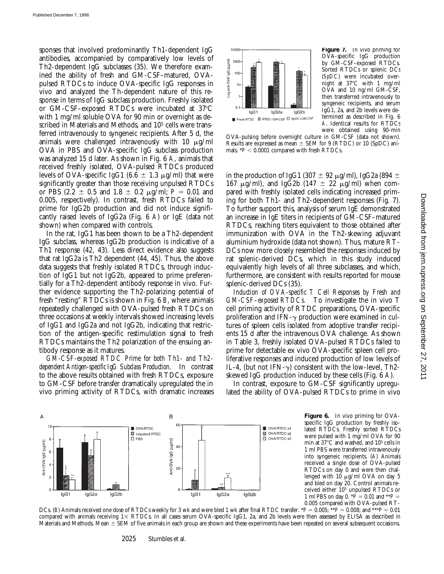sponses that involved predominantly Th1-dependent IgG antibodies, accompanied by comparatively low levels of Th2-dependent IgG subclasses (35). We therefore examined the ability of fresh and GM-CSF–matured, OVApulsed RTDCs to induce OVA-specific IgG responses in vivo and analyzed the Th-dependent nature of this response in terms of IgG subclass production. Freshly isolated or GM-CSF–exposed RTDCs were incubated at  $37^{\circ}$ C with 1 mg/ml soluble OVA for 90 min or overnight as described in Materials and Methods, and 10<sup>5</sup> cells were transferred intravenously to syngeneic recipients. After 5 d, the animals were challenged intravenously with 10  $\mu$ g/ml OVA in PBS and OVA-specific IgG subclass production was analyzed 15 d later. As shown in Fig. 6 *A*, animals that received freshly isolated, OVA-pulsed RTDCs produced levels of OVA-specific IgG1 (6.6  $\pm$  1.3  $\mu$ g/ml) that were significantly greater than those receiving unpulsed RTDCs or PBS (2.2  $\pm$  0.5 and 1.8  $\pm$  0.2  $\mu$ g/ml; *P* = 0.01 and 0.005, respectively). In contrast, fresh RTDCs failed to prime for IgG2b production and did not induce significantly raised levels of IgG2a (Fig. 6 *A*) or IgE (data not shown) when compared with controls.

In the rat, IgG1 has been shown to be a Th2-dependent IgG subclass, whereas IgG2b production is indicative of a Th1 response (42, 43). Less direct evidence also suggests that rat IgG2a is Th2 dependent (44, 45). Thus, the above data suggests that freshly isolated RTDCs, through induction of IgG1 but not IgG2b, appeared to prime preferentially for a Th2-dependent antibody response in vivo. Further evidence supporting the Th2-polarizing potential of fresh "resting" RTDCs is shown in Fig. 6 *B*, where animals repeatedly challenged with OVA-pulsed fresh RTDCs on three occasions at weekly intervals showed increasing levels of IgG1 and IgG2a and not IgG2b, indicating that restriction of the antigen-specific restimulation signal to fresh RTDCs maintains the Th2 polarization of the ensuing antibody response as it matures.

*GM-CSF-exposed RTDC Prime for both Th1- and Th2 dependent Antigen-specific IgG Subclass Production.* In contrast to the above results obtained with fresh RTDCs, exposure to GM-CSF before transfer dramatically upregulated the in vivo priming activity of RTDCs, with dramatic increases



**Figure 7.** In vivo priming for OVA-specific IgG production by GM-CSF–exposed RTDCs. Sorted RTDCs or splenic DCs (*SpDC*) were incubated overnight at 378C with 1 mg/ml OVA and 10 ng/ml GM-CSF, then transferred intravenously to syngeneic recipients, and serum IgG1, 2a, and 2b levels were determined as described in Fig. 6 *A*. Identical results for RTDCs were obtained using 90-min

OVA-pulsing before overnight culture in GM-CSF (data not shown). Results are expressed as mean  $\pm$  SEM for 9 (RTDC) or 10 (SpDC) animals.  $*P < 0.0001$  compared with fresh RTDCs.

in the production of IgG1 (307  $\pm$  92  $\mu$ g/ml), IgG2a (894  $\pm$ 167  $\mu$ g/ml), and IgG2b (147  $\pm$  22  $\mu$ g/ml) when compared with freshly isolated cells indicating increased priming for both Th1- and Th2-dependent responses (Fig. 7). To further support this, analysis of serum IgE demonstrated an increase in IgE titers in recipients of GM-CSF–matured RTDCs, reaching titers equivalent to those obtained after immunization with OVA in the Th2-skewing adjuvant aluminium hydroxide (data not shown). Thus, mature RT-DCs now more closely resembled the responses induced by rat splenic-derived DCs, which in this study induced equivalently high levels of all three subclasses, and which, furthermore, are consistent with results reported for mouse splenic-derived DCs (35).

*Induction of OVA-specific T Cell Responses by Fresh and GM-CSF–exposed RTDCs.* To investigate the in vivo T cell priming activity of RTDC preparations, OVA-specific proliferation and IFN- $\gamma$  production were examined in cultures of spleen cells isolated from adoptive transfer recipients 15 d after the intravenous OVA challenge. As shown in Table 3, freshly isolated OVA-pulsed RTDCs failed to prime for detectable ex vivo OVA-specific spleen cell proliferative responses and induced production of low levels of IL-4, (but not IFN- $\gamma$ ) consistent with the low-level, Th2skewed IgG production induced by these cells (Fig. 6 *A*).

In contrast, exposure to GM-CSF significantly upregulated the ability of OVA-pulsed RTDCs to prime in vivo



Figure 6. In vivo priming for OVAspecific IgG production by freshly isolated RTDCs. Freshly sorted RTDCs were pulsed with 1 mg/ml OVA for 90 min at  $37^{\circ}$ C and washed, and  $10^5$  cells in 1 ml PBS were transferred intravenously into syngeneic recipients. (*A*) Animals received a single dose of OVA-pulsed RTDCs on day 0 and were then challenged with  $10 \mu$ g/ml OVA on day 5 and bled on day 20. Control animals received either 105 unpulsed RTDCs or 1 ml PBS on day 0.  $\vec{P} = 0.01$  and  $\vec{P} =$ 0.005 compared with OVA-pulsed RT-

DCs. (*B*) Animals received one dose of RTDCs weekly for 3 wk and were bled 1 wk after final RTDC transfer. \**P* = 0.005; \*\**P* = 0.008; and \*\*\**P* = 0.01 compared with animals receiving  $1\times$  RTDCs. In all cases serum OVA-specific IgG1, 2a, and 2b levels were then assessed by ELISA as described in Materials and Methods. Mean  $\pm$  SEM of five animals in each group are shown and these experiments have been repeated on several subsequent occasions.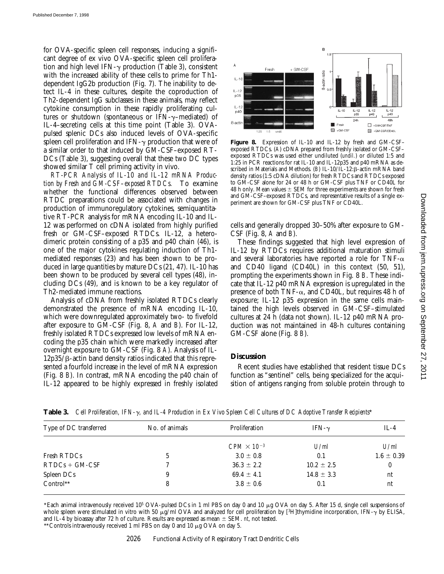for OVA-specific spleen cell responses, inducing a significant degree of ex vivo OVA-specific spleen cell proliferation and high level IFN- $\gamma$  production (Table 3), consistent with the increased ability of these cells to prime for Th1 dependent IgG2b production (Fig. 7). The inability to detect IL-4 in these cultures, despite the coproduction of Th2-dependent IgG subclasses in these animals, may reflect cytokine consumption in these rapidly proliferating cultures or shutdown (spontaneous or IFN- $\gamma$ –mediated) of IL-4–secreting cells at this time point (Table 3). OVApulsed splenic DCs also induced levels of OVA-specific spleen cell proliferation and IFN- $\gamma$  production that were of a similar order to that induced by GM-CSF–exposed RT-DCs (Table 3), suggesting overall that these two DC types showed similar T cell priming activity in vivo.

*RT-PCR Analysis of IL-10 and IL-12 mRNA Production by Fresh and GM-CSF–exposed RTDCs.* To examine whether the functional differences observed between RTDC preparations could be associated with changes in production of immunoregulatory cytokines, semiquantitative RT-PCR analysis for mRNA encoding IL-10 and IL-12 was performed on cDNA isolated from highly purified fresh or GM-CSF–exposed RTDCs. IL-12, a heterodimeric protein consisting of a p35 and p40 chain (46), is one of the major cytokines regulating induction of Th1 mediated responses (23) and has been shown to be produced in large quantities by mature DCs (21, 47). IL-10 has been shown to be produced by several cell types (48), including DCs (49), and is known to be a key regulator of Th2-mediated immune reactions.

Analysis of cDNA from freshly isolated RTDCs clearly demonstrated the presence of mRNA encoding IL-10, which were downregulated approximately two- to fivefold after exposure to GM-CSF (Fig. 8, *A* and *B*). For IL-12, freshly isolated RTDCs expressed low levels of mRNA encoding the p35 chain which were markedly increased after overnight exposure to GM-CSF (Fig. 8 *A*). Analysis of IL- $12p35/B$ -actin band density ratios indicated that this represented a fourfold increase in the level of mRNA expression (Fig. 8 *B*). In contrast, mRNA encoding the p40 chain of IL-12 appeared to be highly expressed in freshly isolated



**Figure 8.** Expression of IL-10 and IL-12 by fresh and GM-CSF– exposed RTDCs. (A) cDNA prepared from freshly isolated or GM-CSF– exposed RTDCs was used either undiluted (*undil.*) or diluted 1:5 and 1:25 in PCR reactions for rat IL-10 and IL-12p35 and p40 mRNA as described in Materials and Methods.  $(B)$  IL-10/IL-12: $\beta$ -actin mRNA band density ratios (1:5 cDNA dilution) for fresh RTDCs and RTDCs exposed to GM-CSF alone for 24 or 48 h or GM-CSF plus TNF or CD40L for 48 h only. Mean values  $\pm$  SEM for three experiments are shown for fresh and GM-CSF–exposed RTDCs, and representative results of a single experiment are shown for GM-CSF plus TNF or CD40L.

cells and generally dropped 30–50% after exposure to GM-CSF (Fig. 8, *A* and *B*).

These findings suggested that high level expression of IL-12 by RTDCs requires additional maturation stimuli and several laboratories have reported a role for TNF- $\alpha$ and CD40 ligand (CD40L) in this context (50, 51), prompting the experiments shown in Fig. 8 *B*. These indicate that IL-12 p40 mRNA expression is upregulated in the presence of both TNF- $\alpha$ , and CD40L, but requires 48 h of exposure; IL-12 p35 expression in the same cells maintained the high levels observed in GM-CSF–stimulated cultures at 24 h (data not shown). IL-12 p40 mRNA production was not maintained in 48-h cultures containing GM-CSF alone (Fig. 8 *B*).

## **Discussion**

Recent studies have established that resident tissue DCs function as "sentinel" cells, being specialized for the acquisition of antigens ranging from soluble protein through to

| Type of DC transferred | No. of animals | Proliferation        | IFN- $\nu$     | $IL-4$         |
|------------------------|----------------|----------------------|----------------|----------------|
|                        |                | $CPM \times 10^{-3}$ | U/ml           | U/ml           |
| Fresh RTDCs            |                | $3.0 \pm 0.8$        | 0.1            | $1.6 \pm 0.39$ |
| $RTDCs + GM-CSF$       |                | $36.3 \pm 2.2$       | $10.2 \pm 2.5$ | 0              |
| Spleen DCs             | 9              | $69.4 \pm 4.1$       | $14.8 \pm 3.3$ | nt             |
| Control**              | 8              | $3.8 \pm 0.6$        | 0.1            | nt             |

**Table 3.** *Cell Proliferation, IFN-*g*, and IL-4 Production in Ex Vivo Spleen Cell Cultures of DC Adoptive Transfer Recipients*\*

\*Each animal intravenously received 10<sup>5</sup> OVA-pulsed DCs in 1 ml PBS on day 0 and 10  $\mu$ g OVA on day 5. After 15 d, single cell suspensions of whole spleen were stimulated in vitro with 50  $\mu$ g/ml OVA and analyzed for cell proliferation by [3H]thymidine incorporation, IFN- $\gamma$  by ELISA, and IL-4 by bioassay after 72 h of culture. Results are expressed as mean  $\pm$  SEM. *nt*, not tested.

\*\* Controls intravenously received 1 ml PBS on day 0 and 10  $\mu$ g OVA on day 5.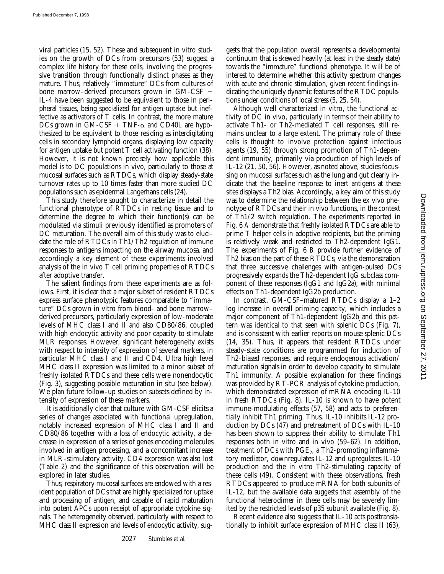viral particles (15, 52). These and subsequent in vitro studies on the growth of DCs from precursors (53) suggest a complex life history for these cells, involving the progressive transition through functionally distinct phases as they mature. Thus, relatively "immature" DCs from cultures of bone marrow–derived precursors grown in  $GM-CSF$  + IL-4 have been suggested to be equivalent to those in peripheral tissues, being specialized for antigen uptake but ineffective as activators of T cells. In contrast, the more mature DCs grown in GM-CSF + TNF- $\alpha$  and CD40L are hypothesized to be equivalent to those residing as interdigitating cells in secondary lymphoid organs, displaying low capacity for antigen uptake but potent T cell activating function (38). However, it is not known precisely how applicable this model is to DC populations in vivo, particularly to those at mucosal surfaces such as RTDCs, which display steady-state turnover rates up to 10 times faster than more studied DC populations such as epidermal Langerhans cells (24).

This study therefore sought to characterize in detail the functional phenotype of RTDCs in resting tissue and to determine the degree to which their function(s) can be modulated via stimuli previously identified as promoters of DC maturation. The overall aim of this study was to elucidate the role of RTDCs in Th1/Th2 regulation of immune responses to antigens impacting on the airway mucosa, and accordingly a key element of these experiments involved analysis of the in vivo T cell priming properties of RTDCs after adoptive transfer.

The salient findings from these experiments are as follows. First, it is clear that a major subset of resident RTDCs express surface phenotypic features comparable to "immature" DCs grown in vitro from blood- and bone marrow– derived precursors, particularly expression of low-moderate levels of MHC class I and II and also CD80/86, coupled with high endocytic activity and poor capacity to stimulate MLR responses. However, significant heterogeneity exists with respect to intensity of expression of several markers, in particular MHC class I and II and CD4. Ultra high level MHC class II expression was limited to a minor subset of freshly isolated RTDCs and these cells were nonendocytic (Fig. 3), suggesting possible maturation in situ (see below). We plan future follow-up studies on subsets defined by intensity of expression of these markers.

It is additionally clear that culture with GM-CSF elicits a series of changes associated with functional upregulation, notably increased expression of MHC class I and II and CD80/86 together with a loss of endocytic activity, a decrease in expression of a series of genes encoding molecules involved in antigen processing, and a concomitant increase in MLR-stimulatory activity. CD4 expression was also lost (Table 2) and the significance of this observation will be explored in later studies.

Thus, respiratory mucosal surfaces are endowed with a resident population of DCs that are highly specialized for uptake and processing of antigen, and capable of rapid maturation into potent APCs upon receipt of appropriate cytokine signals. The heterogeneity observed, particularly with respect to MHC class II expression and levels of endocytic activity, suggests that the population overall represents a developmental continuum that is skewed heavily (at least in the steady state) towards the "immature" functional phenotype. It will be of interest to determine whether this activity spectrum changes with acute and chronic stimulation, given recent findings indicating the uniquely dynamic features of the RTDC populations under conditions of local stress (5, 25, 54).

Although well characterized in vitro, the functional activity of DC in vivo, particularly in terms of their ability to activate Th1- or Th2-mediated T cell responses, still remains unclear to a large extent. The primary role of these cells is thought to involve protection against infectious agents (19, 55) through strong promotion of Th1-dependent immunity, primarily via production of high levels of IL-12 (21, 50, 56). However, as noted above, studies focussing on mucosal surfaces such as the lung and gut clearly indicate that the baseline response to inert antigens at these sites displays a Th2 bias. Accordingly, a key aim of this study was to determine the relationship between the ex vivo phenotype of RTDCs and their in vivo functions, in the context of Th1/2 switch regulation. The experiments reported in Fig. 6 *A* demonstrate that freshly isolated RTDCs are able to prime T helper cells in adoptive recipients, but the priming is relatively weak and restricted to Th2-dependent IgG1. The experiments of Fig. 6 *B* provide further evidence of Th2 bias on the part of these RTDCs, via the demonstration that three successive challenges with antigen-pulsed DCs progressively expands the Th2-dependent IgG subclass component of these responses (IgG1 and IgG2a), with minimal effects on Th1-dependent IgG2b production.

In contrast, GM-CSF–matured RTDCs display a 1–2 log increase in overall priming capacity, which includes a major component of Th1-dependent IgG2b and this pattern was identical to that seen with splenic DCs (Fig. 7), and is consistent with earlier reports on mouse splenic DCs (14, 35). Thus, it appears that resident RTDCs under steady-state conditions are programmed for induction of Th2-biased responses, and require endogenous activation/ maturation signals in order to develop capacity to stimulate Th1 immunity. A possible explanation for these findings was provided by RT-PCR analysis of cytokine production, which demonstrated expression of mRNA encoding IL-10 in fresh RTDCs (Fig. 8). IL-10 is known to have potent immune-modulating effects (57, 58) and acts to preferentially inhibit Th1 priming. Thus, IL-10 inhibits IL-12 production by DCs (47) and pretreatment of DCs with IL-10 has been shown to suppress their ability to stimulate Th1 responses both in vitro and in vivo (59–62). In addition, treatment of DCs with  $PGE_2$ , a Th2-promoting inflammatory mediator, downregulates IL-12 and upregulates IL-10 production and the in vitro Th2-stimulating capacity of these cells (49). Consistent with these observations, fresh RTDCs appeared to produce mRNA for both subunits of IL-12, but the available data suggests that assembly of the functional heterodimer in these cells may be severely limited by the restricted levels of p35 subunit available (Fig. 8).

Recent evidence also suggests that IL-10 acts posttranslationally to inhibit surface expression of MHC class II (63),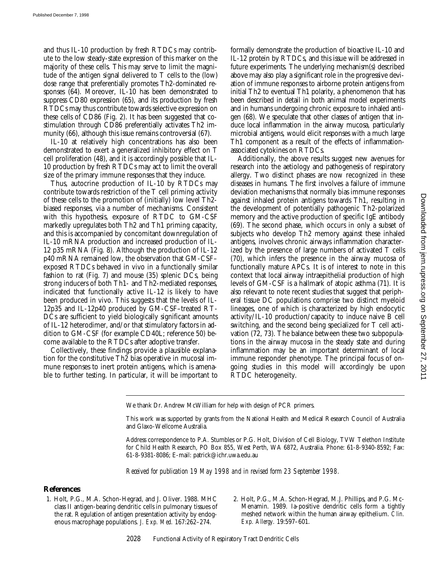and thus IL-10 production by fresh RTDCs may contribute to the low steady-state expression of this marker on the majority of these cells. This may serve to limit the magnitude of the antigen signal delivered to T cells to the (low) dose range that preferentially promotes Th2-dominated responses (64). Moreover, IL-10 has been demonstrated to suppress CD80 expression (65), and its production by fresh RTDCs may thus contribute towards selective expression on these cells of CD86 (Fig. 2). It has been suggested that costimulation through CD86 preferentially activates Th2 immunity (66), although this issue remains controversial (67).

IL-10 at relatively high concentrations has also been demonstrated to exert a generalized inhibitory effect on T cell proliferation (48), and it is accordingly possible that IL-10 production by fresh RTDCs may act to limit the overall size of the primary immune responses that they induce.

Thus, autocrine production of IL-10 by RTDCs may contribute towards restriction of the T cell priming activity of these cells to the promotion of (initially) low level Th2 biased responses, via a number of mechanisms. Consistent with this hypothesis, exposure of RTDC to GM-CSF markedly upregulates both Th2 and Th1 priming capacity, and this is accompanied by concomitant downregulation of IL-10 mRNA production and increased production of IL-12 p35 mRNA (Fig. 8). Although the production of IL-12 p40 mRNA remained low, the observation that GM-CSF– exposed RTDCs behaved in vivo in a functionally similar fashion to rat (Fig. 7) and mouse (35) splenic DCs, being strong inducers of both Th1- and Th2-mediated responses, indicated that functionally active IL-12 is likely to have been produced in vivo. This suggests that the levels of IL-12p35 and IL-12p40 produced by GM-CSF–treated RT-DCs are sufficient to yield biologically significant amounts of IL-12 heterodimer, and/or that stimulatory factors in addition to GM-CSF (for example CD40L; reference 50) become available to the RTDCs after adoptive transfer.

Collectively, these findings provide a plausible explanation for the constitutive Th2 bias operative in mucosal immune responses to inert protein antigens, which is amenable to further testing. In particular, it will be important to formally demonstrate the production of bioactive IL-10 and IL-12 protein by RTDCs, and this issue will be addressed in future experiments. The underlying mechanism(s) described above may also play a significant role in the progressive deviation of immune responses to airborne protein antigens from initial Th2 to eventual Th1 polarity, a phenomenon that has been described in detail in both animal model experiments and in humans undergoing chronic exposure to inhaled antigen (68). We speculate that other classes of antigen that induce local inflammation in the airway mucosa, particularly microbial antigens, would elicit responses with a much large Th1 component as a result of the effects of inflammationassociated cytokines on RTDCs.

Additionally, the above results suggest new avenues for research into the aetiology and pathogenesis of respiratory allergy. Two distinct phases are now recognized in these diseases in humans. The first involves a failure of immune deviation mechanisms that normally bias immune responses against inhaled protein antigens towards Th1, resulting in the development of potentially pathogenic Th2-polarized memory and the active production of specific IgE antibody (69). The second phase, which occurs in only a subset of subjects who develop Th2 memory against these inhaled antigens, involves chronic airways inflammation characterized by the presence of large numbers of activated T cells (70), which infers the presence in the airway mucosa of functionally mature APCs. It is of interest to note in this context that local airway intraepithelial production of high levels of GM-CSF is a hallmark of atopic asthma (71). It is also relevant to note recent studies that suggest that peripheral tissue DC populations comprise two distinct myeloid lineages, one of which is characterized by high endocytic activity/IL-10 production/capacity to induce naive B cell switching, and the second being specialized for T cell activation (72, 73). The balance between these two subpopulations in the airway mucosa in the steady state and during inflammation may be an important determinant of local immune responder phenotype. The principal focus of ongoing studies in this model will accordingly be upon RTDC heterogeneity.

We thank Dr. Andrew McWilliam for help with design of PCR primers.

This work was supported by grants from the National Health and Medical Research Council of Australia and Glaxo-Wellcome Australia.

Address correspondence to P.A. Stumbles or P.G. Holt, Division of Cell Biology, TVW Telethon Institute for Child Health Research, PO Box 855, West Perth, WA 6872, Australia. Phone: 61-8-9340-8592; Fax: 61-8-9381-8086; E-mail: patrick@ichr.uwa.edu.au

*Received for publication 19 May 1998 and in revised form 23 September 1998.*

## **References**

- 1. Holt, P.G., M.A. Schon-Hegrad, and J. Oliver. 1988. MHC class II antigen-bearing dendritic cells in pulmonary tissues of the rat. Regulation of antigen presentation activity by endogenous macrophage populations. *J. Exp. Med.* 167:262–274.
- 2. Holt, P.G., M.A. Schon-Hegrad, M.J. Phillips, and P.G. Mc-Menamin. 1989. Ia-positive dendritic cells form a tightly meshed network within the human airway epithelium. *Clin. Exp. Allergy.* 19:597–601.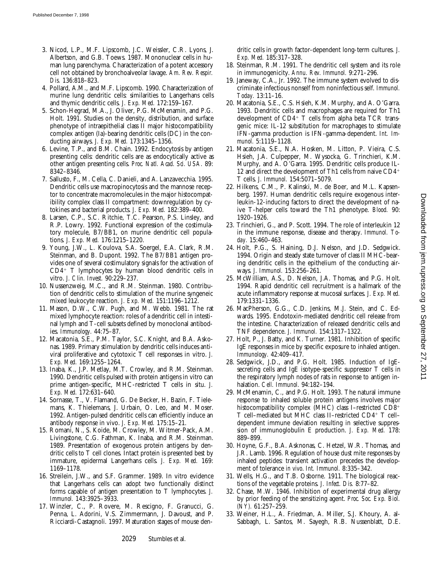- 3. Nicod, L.P., M.F. Lipscomb, J.C. Weissler, C.R. Lyons, J. Albertson, and G.B. Toews. 1987. Mononuclear cells in human lung parenchyma. Characterization of a potent accessory cell not obtained by bronchoalveolar lavage. *Am. Rev. Respir. Dis.* 136:818–823.
- 4. Pollard, A.M., and M.F. Lipscomb. 1990. Characterization of murine lung dendritic cells: similarities to Langerhans cells and thymic dendritic cells. *J. Exp. Med.* 172:159–167.
- 5. Schon-Hegrad, M.A., J. Oliver, P.G. McMenamin, and P.G. Holt. 1991. Studies on the density, distribution, and surface phenotype of intraepithelial class II major histocompatibility complex antigen (Ia)-bearing dendritic cells (DC) in the conducting airways. *J. Exp. Med.* 173:1345–1356.
- 6. Levine, T.P., and B.M. Chain. 1992. Endocytosis by antigen presenting cells: dendritic cells are as endocytically active as other antigen presenting cells. *Proc. Natl. Acad. Sci. USA.* 89: 8342–8346.
- 7. Sallusto, F., M. Cella, C. Danieli, and A. Lanzavecchia. 1995. Dendritic cells use macropinocytosis and the mannose receptor to concentrate macromolecules in the major histocompatibility complex class II compartment: downregulation by cytokines and bacterial products. *J. Exp. Med.* 182:389–400.
- 8. Larsen, C.P., S.C. Ritchie, T.C. Pearson, P.S. Linsley, and R.P. Lowry. 1992. Functional expression of the costimulatory molecule, B7/BB1, on murine dendritic cell populations. *J. Exp. Med.* 176:1215–1220.
- 9. Young, J.W., L. Koulova, S.A. Soergel, E.A. Clark, R.M. Steinman, and B. Dupont. 1992. The B7/BB1 antigen provides one of several costimulatory signals for the activation of  $CD4+T$  lymphocytes by human blood dendritic cells in vitro. *J. Clin. Invest.* 90:229–237.
- 10. Nussenzweig, M.C., and R.M. Steinman. 1980. Contribution of dendritic cells to stimulation of the murine syngeneic mixed leukocyte reaction. *J. Exp. Med.* 151:1196–1212.
- 11. Mason, D.W., C.W. Pugh, and M. Webb. 1981. The rat mixed lymphocyte reaction: roles of a dendritic cell in intestinal lymph and T-cell subsets defined by monoclonal antibodies. *Immunology.* 44:75–87.
- 12. Macatonia, S.E., P.M. Taylor, S.C. Knight, and B.A. Askonas. 1989. Primary stimulation by dendritic cells induces antiviral proliferative and cytotoxic T cell responses in vitro. *J. Exp. Med.* 169:1255–1264.
- 13. Inaba, K., J.P. Metlay, M.T. Crowley, and R.M. Steinman. 1990. Dendritic cells pulsed with protein antigens in vitro can prime antigen-specific, MHC-restricted T cells in situ. *J. Exp. Med.* 172:631–640.
- 14. Sornasse, T., V. Flamand, G. De Becker, H. Bazin, F. Tielemans, K. Thielemans, J. Urbain, O. Leo, and M. Moser. 1992. Antigen-pulsed dendritic cells can efficiently induce an antibody response in vivo. *J. Exp. Med.* 175:15–21.
- 15. Romani, N., S. Koide, M. Crowley, M. Witmer-Pack, A.M. Livingstone, C.G. Fathman, K. Inaba, and R.M. Steinman. 1989. Presentation of exogenous protein antigens by dendritic cells to T cell clones. Intact protein is presented best by immature, epidermal Langerhans cells. *J. Exp. Med.* 169: 1169–1178.
- 16. Streilein, J.W., and S.F. Grammer. 1989. In vitro evidence that Langerhans cells can adopt two functionally distinct forms capable of antigen presentation to T lymphocytes. *J. Immunol.* 143:3925–3933.
- 17. Winzler, C., P. Rovere, M. Rescigno, F. Granucci, G. Penna, L. Adorini, V.S. Zimmermann, J. Davoust, and P. Ricciardi-Castagnoli. 1997. Maturation stages of mouse den-

dritic cells in growth factor-dependent long-term cultures. *J. Exp. Med.* 185:317–328.

- 18. Steinman, R.M. 1991. The dendritic cell system and its role in immunogenicity. *Annu. Rev. Immunol.* 9:271–296.
- 19. Janeway, C.A., Jr. 1992. The immune system evolved to discriminate infectious nonself from noninfectious self. *Immunol. Today.* 13:11–16.
- 20. Macatonia, S.E., C.S. Hsieh, K.M. Murphy, and A. O'Garra. 1993. Dendritic cells and macrophages are required for Th1 development of  $CD4^+$  T cells from alpha beta TCR transgenic mice: IL-12 substitution for macrophages to stimulate IFN-gamma production is IFN-gamma-dependent. *Int. Immunol.* 5:1119–1128.
- 21. Macatonia, S.E., N.A. Hosken, M. Litton, P. Vieira, C.S. Hsieh, J.A. Culpepper, M. Wysocka, G. Trinchieri, K.M. Murphy, and A. O'Garra. 1995. Dendritic cells produce IL-12 and direct the development of Th1 cells from naive  $CD4$ <sup>+</sup> T cells. *J. Immunol.* 154:5071–5079.
- 22. Hilkens, C.M., P. Kalinski, M. de Boer, and M.L. Kapsenberg. 1997. Human dendritic cells require exogenous interleukin-12-inducing factors to direct the development of naive T-helper cells toward the Th1 phenotype. *Blood.* 90: 1920–1926.
- 23. Trinchieri, G., and P. Scott. 1994. The role of interleukin 12 in the immune response, disease and therapy. *Immunol. Today.* 15:460–463.
- 24. Holt, P.G., S. Haining, D.J. Nelson, and J.D. Sedgwick. 1994. Origin and steady state turnover of class II MHC-bearing dendritic cells in the epithelium of the conducting airways. *J. Immunol.* 153:256–261.
- 25. McWilliam, A.S., D. Nelson, J.A. Thomas, and P.G. Holt. 1994. Rapid dendritic cell recruitment is a hallmark of the acute inflammatory response at mucosal surfaces. *J. Exp. Med.* 179:1331–1336.
- 26. MacPherson, G.G., C.D. Jenkins, M.J. Stein, and C. Edwards. 1995. Endotoxin-mediated dendritic cell release from the intestine. Characterization of released dendritic cells and TNF dependence. *J. Immunol.* 154:1317–1322.
- 27. Holt, P., J. Batty, and K. Turner. 1981. Inhibition of specific IgE responses in mice by specific exposure to inhaled antigen. *Immunology.* 42:409–417.
- 28. Sedgwick, J.D., and P.G. Holt. 1985. Induction of IgEsecreting cells and IgE isotype-specific suppressor T cells in the respiratory lymph nodes of rats in response to antigen inhalation. *Cell. Immunol.* 94:182–194.
- 29. McMenamin, C., and P.G. Holt. 1993. The natural immune response to inhaled soluble protein antigens involves major histocompatibility complex (MHC) class I-restricted CD8<sup>+</sup> T cell-mediated but MHC class II-restricted CD4+ T celldependent immune deviation resulting in selective suppression of immunoglobulin E production. *J. Exp. Med.* 178: 889–899.
- 30. Hoyne, G.F., B.A. Asknonas, C. Hetzel, W.R. Thomas, and J.R. Lamb. 1996. Regulation of house dust mite responses by inhaled peptides: transient activation precedes the development of tolerance *in vivo*. *Int. Immunol.* 8:335–342.
- 31. Wells, H.G., and T.B. Osborne. 1911. The biological reactions of the vegetable proteins. *J. Infect. Dis.* 8:77–82.
- 32. Chase, M.W. 1946. Inhibition of experimental drug allergy by prior feeding of the sensitizing agent. *Proc. Soc. Exp. Biol. (NY).* 61:257–259.
- 33. Weiner, H.L., A. Friedman, A. Miller, S.J. Khoury, A. al-Sabbagh, L. Santos, M. Sayegh, R.B. Nussenblatt, D.E.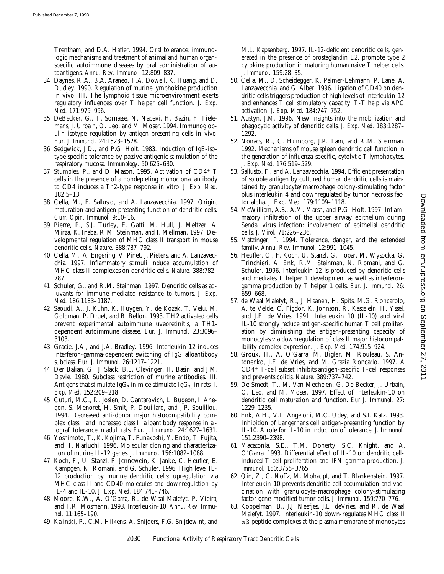Trentham, and D.A. Hafler. 1994. Oral tolerance: immunologic mechanisms and treatment of animal and human organspecific autoimmune diseases by oral administration of autoantigens. *Annu. Rev. Immunol.* 12:809–837.

- 34. Daynes, R.A., B.A. Araneo, T.A. Dowell, K. Huang, and D. Dudley. 1990. Regulation of murine lymphokine production in vivo. III. The lymphoid tissue microenvironment exerts regulatory influences over T helper cell function. *J. Exp. Med.* 171:979–996.
- 35. DeBecker, G., T. Sornasse, N. Nabavi, H. Bazin, F. Tielemans, J. Urbain, O. Leo, and M. Moser. 1994. Immunoglobulin isotype regulation by antigen-presenting cells in vivo. *Eur. J. Immunol.* 24:1523–1528.
- 36. Sedgwick, J.D., and P.G. Holt. 1983. Induction of IgE-isotype specific tolerance by passive antigenic stimulation of the respiratory mucosa. *Immunology.* 50:625–630.
- 37. Stumbles, P., and D. Mason. 1995. Activation of  $CD4^+$  T cells in the presence of a nondepleting monoclonal antibody to CD4 induces a Th2-type response in vitro. *J. Exp. Med.* 182:5–13.
- 38. Cella, M., F. Sallusto, and A. Lanzavecchia. 1997. Origin, maturation and antigen presenting function of dendritic cells. *Curr. Opin. Immunol.* 9:10–16.
- 39. Pierre, P., S.J. Turley, E. Gatti, M. Hull, J. Meltzer, A. Mirza, K. Inaba, R.M. Steinman, and I. Mellman. 1997. Developmental regulation of MHC class II transport in mouse dendritic cells. *Nature.* 388:787–792.
- 40. Cella, M., A. Engering, V. Pinet, J. Pieters, and A. Lanzavecchia. 1997. Inflammatory stimuli induce accumulation of MHC class II complexes on dendritic cells. *Nature.* 388:782– 787.
- 41. Schuler, G., and R.M. Steinman. 1997. Dendritic cells as adjuvants for immune-mediated resistance to tumors. *J. Exp. Med.* 186:1183–1187.
- 42. Saoudi, A., J. Kuhn, K. Huygen, Y. de Kozak, T. Velu, M. Goldman, P. Druet, and B. Bellon. 1993. TH2 activated cells prevent experimental autoimmune uveoretinitis, a TH1 dependent autoimmune disease. *Eur. J. Immunol.* 23:3096– 3103.
- 43. Gracie, J.A., and J.A. Bradley. 1996. Interleukin-12 induces interferon-gamma-dependent switching of IgG alloantibody subclass. *Eur. J. Immunol.* 26:1217–1221.
- 44. Der Balian, G., J. Slack, B.L. Clevinger, H. Basin, and J.M. Davie. 1980. Subclass restriction of murine antibodies. III. Antigens that stimulate Ig $G_3$  in mice stimulate Ig $G_{2c}$  in rats. *J. Exp. Med.* 152:209–218.
- 45. Cuturi, M.C., R. Josien, D. Cantarovich, L. Bugeon, I. Anegon, S. Menoret, H. Smit, P. Douillard, and J.P. Soulillou. 1994. Decreased anti-donor major histocompatibility complex class I and increased class II alloantibody response in allograft tolerance in adult rats. *Eur. J. Immunol.* 24:1627–1631.
- 46. Yoshimoto, T., K. Kojima, T. Funakoshi, Y. Endo, T. Fujita, and H. Nariuchi. 1996. Molecular cloning and characterization of murine IL-12 genes. *J. Immunol.* 156:1082–1088.
- 47. Koch, F., U. Stanzl, P. Jennewein, K. Janke, C. Heufler, E. Kampgen, N. Romani, and G. Schuler. 1996. High level IL-12 production by murine dendritic cells: upregulation via MHC class II and CD40 molecules and downregulation by IL-4 and IL-10. *J. Exp. Med.* 184:741–746.
- 48. Moore, K.W., A. O'Garra, R. de Waal Malefyt, P. Vieira, and T.R. Mosmann. 1993. Interleukin-10. *Annu. Rev. Immunol.* 11:165–190.
- 49. Kalinski, P., C.M. Hilkens, A. Snijders, F.G. Snijdewint, and

M.L. Kapsenberg. 1997. IL-12-deficient dendritic cells, generated in the presence of prostaglandin E2, promote type 2 cytokine production in maturing human naive T helper cells. *J. Immunol.* 159:28–35.

- 50. Cella, M., D. Scheidegger, K. Palmer-Lehmann, P. Lane, A. Lanzavecchia, and G. Alber. 1996. Ligation of CD40 on dendritic cells triggers production of high levels of interleukin-12 and enhances T cell stimulatory capacity: T-T help via APC activation. *J. Exp. Med.* 184:747–752.
- 51. Austyn, J.M. 1996. New insights into the mobilization and phagocytic activity of dendritic cells. *J. Exp. Med.* 183:1287– 1292.
- 52. Nonacs, R., C. Humborg, J.P. Tam, and R.M. Steinman. 1992. Mechanisms of mouse spleen dendritic cell function in the generation of influenza-specific, cytolytic T lymphocytes. *J. Exp. Med.* 176:519–529.
- 53. Sallusto, F., and A. Lanzavecchia. 1994. Efficient presentation of soluble antigen by cultured human dendritic cells is maintained by granulocyte/macrophage colony-stimulating factor plus interleukin 4 and downregulated by tumor necrosis factor alpha. *J. Exp. Med.* 179:1109–1118.
- 54. McWilliam, A.S., A.M. Marsh, and P.G. Holt. 1997. Inflammatory infiltration of the upper airway epithelium during Sendai virus infection: involvement of epithelial dendritic cells. *J. Virol.* 71:226–236.
- 55. Matzinger, P. 1994. Tolerance, danger, and the extended family. *Annu. Rev. Immunol.* 12:991–1045.
- 56. Heufler, C., F. Koch, U. Stanzl, G. Topar, M. Wysocka, G. Trinchieri, A. Enk, R.M. Steinman, N. Romani, and G. Schuler. 1996. Interleukin-12 is produced by dendritic cells and mediates T helper 1 development as well as interferongamma production by T helper 1 cells. *Eur. J. Immunol.* 26: 659–668.
- 57. de Waal Malefyt, R., J. Haanen, H. Spits, M.G. Roncarolo, A. te Velde, C. Figdor, K. Johnson, R. Kastelein, H. Yssel, and J.E. de Vries. 1991. Interleukin 10 (IL-10) and viral IL-10 strongly reduce antigen-specific human T cell proliferation by diminishing the antigen-presenting capacity of monocytes via downregulation of class II major histocompatibility complex expression. *J. Exp. Med.* 174:915–924.
- 58. Groux, H., A. O'Garra, M. Bigler, M. Rouleau, S. Antonenko, J.E. de Vries, and M. Grazia Roncarlo. 1997. A  $CD4+$  T-cell subset inhibits antigen-specific T-cell responses and prevents colitis. *Nature.* 389:737–742.
- 59. De Smedt, T., M. Van Mechelen, G. De Becker, J. Urbain, O. Leo, and M. Moser. 1997. Effect of interleukin-10 on dendritic cell maturation and function. *Eur J. Immunol.* 27: 1229–1235.
- 60. Enk, A.H., V.L. Angeloni, M.C. Udey, and S.I. Katz. 1993. Inhibition of Langerhans cell antigen-presenting function by IL-10. A role for IL-10 in induction of tolerance. *J. Immunol.* 151:2390–2398.
- 61. Macatonia, S.E., T.M. Doherty, S.C. Knight, and A. O'Garra. 1993. Differential effect of IL-10 on dendritic cellinduced T cell proliferation and IFN-gamma production. *J. Immunol.* 150:3755–3765.
- 62. Qin, Z., G. Noffz, M. Mohaupt, and T. Blankenstein. 1997. Interleukin-10 prevents dendritic cell accumulation and vaccination with granulocyte-macrophage colony-stimulating factor gene-modified tumor cells. *J. Immunol.* 159:770–776.
- 63. Koppelman, B., J.J. Neefjes, J.E. deVries, and R. de Waal Malefyt. 1997. Interleukin-10 down-regulates MHC class II  $\alpha\beta$  peptide complexes at the plasma membrane of monocytes